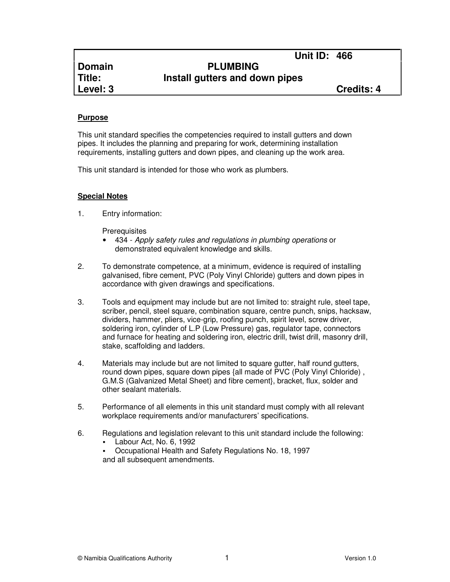# **Unit ID: 466 Domain PLUMBING Title: Install gutters and down pipes**

**Level: 3 Credits: 4**

# **Purpose**

This unit standard specifies the competencies required to install gutters and down pipes. It includes the planning and preparing for work, determining installation requirements, installing gutters and down pipes, and cleaning up the work area.

This unit standard is intended for those who work as plumbers.

# **Special Notes**

1. Entry information:

**Prerequisites** 

- 434 Apply safety rules and regulations in plumbing operations or demonstrated equivalent knowledge and skills.
- 2. To demonstrate competence, at a minimum, evidence is required of installing galvanised, fibre cement, PVC (Poly Vinyl Chloride) gutters and down pipes in accordance with given drawings and specifications.
- 3. Tools and equipment may include but are not limited to: straight rule, steel tape, scriber, pencil, steel square, combination square, centre punch, snips, hacksaw, dividers, hammer, pliers, vice-grip, roofing punch, spirit level, screw driver, soldering iron, cylinder of L.P (Low Pressure) gas, regulator tape, connectors and furnace for heating and soldering iron, electric drill, twist drill, masonry drill, stake, scaffolding and ladders.
- 4. Materials may include but are not limited to square gutter, half round gutters, round down pipes, square down pipes {all made of PVC (Poly Vinyl Chloride) , G.M.S (Galvanized Metal Sheet) and fibre cement}, bracket, flux, solder and other sealant materials.
- 5. Performance of all elements in this unit standard must comply with all relevant workplace requirements and/or manufacturers' specifications.
- 6. Regulations and legislation relevant to this unit standard include the following:
	- Labour Act, No. 6, 1992
	- Occupational Health and Safety Regulations No. 18, 1997 and all subsequent amendments.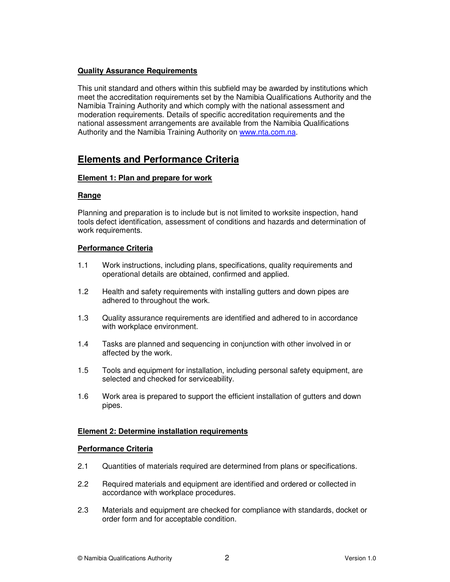# **Quality Assurance Requirements**

This unit standard and others within this subfield may be awarded by institutions which meet the accreditation requirements set by the Namibia Qualifications Authority and the Namibia Training Authority and which comply with the national assessment and moderation requirements. Details of specific accreditation requirements and the national assessment arrangements are available from the Namibia Qualifications Authority and the Namibia Training Authority on www.nta.com.na.

# **Elements and Performance Criteria**

# **Element 1: Plan and prepare for work**

#### **Range**

Planning and preparation is to include but is not limited to worksite inspection, hand tools defect identification, assessment of conditions and hazards and determination of work requirements.

#### **Performance Criteria**

- 1.1 Work instructions, including plans, specifications, quality requirements and operational details are obtained, confirmed and applied.
- 1.2 Health and safety requirements with installing gutters and down pipes are adhered to throughout the work.
- 1.3 Quality assurance requirements are identified and adhered to in accordance with workplace environment.
- 1.4 Tasks are planned and sequencing in conjunction with other involved in or affected by the work.
- 1.5 Tools and equipment for installation, including personal safety equipment, are selected and checked for serviceability.
- 1.6 Work area is prepared to support the efficient installation of gutters and down pipes.

#### **Element 2: Determine installation requirements**

#### **Performance Criteria**

- 2.1 Quantities of materials required are determined from plans or specifications.
- 2.2 Required materials and equipment are identified and ordered or collected in accordance with workplace procedures.
- 2.3 Materials and equipment are checked for compliance with standards, docket or order form and for acceptable condition.